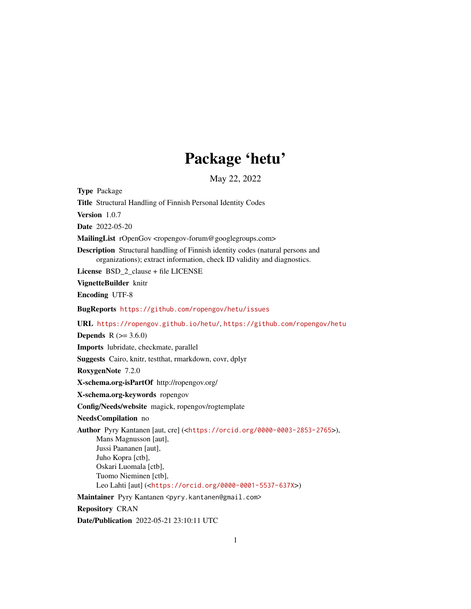# Package 'hetu'

May 22, 2022

Type Package Title Structural Handling of Finnish Personal Identity Codes Version 1.0.7 Date 2022-05-20 MailingList rOpenGov <ropengov-forum@googlegroups.com> Description Structural handling of Finnish identity codes (natural persons and organizations); extract information, check ID validity and diagnostics. License BSD\_2\_clause + file LICENSE VignetteBuilder knitr Encoding UTF-8 BugReports <https://github.com/ropengov/hetu/issues> URL <https://ropengov.github.io/hetu/>, <https://github.com/ropengov/hetu> **Depends** R  $(>= 3.6.0)$ Imports lubridate, checkmate, parallel Suggests Cairo, knitr, testthat, rmarkdown, covr, dplyr RoxygenNote 7.2.0 X-schema.org-isPartOf http://ropengov.org/ X-schema.org-keywords ropengov Config/Needs/website magick, ropengov/rogtemplate NeedsCompilation no Author Pyry Kantanen [aut, cre] (<<https://orcid.org/0000-0003-2853-2765>>), Mans Magnusson [aut], Jussi Paananen [aut], Juho Kopra [ctb], Oskari Luomala [ctb], Tuomo Nieminen [ctb], Leo Lahti [aut] (<<https://orcid.org/0000-0001-5537-637X>>) Maintainer Pyry Kantanen <pyry.kantanen@gmail.com> Repository CRAN Date/Publication 2022-05-21 23:10:11 UTC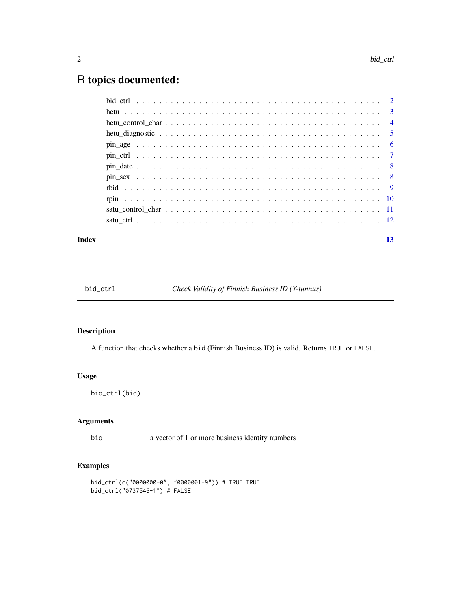## <span id="page-1-0"></span>R topics documented:

#### **Index** [13](#page-12-0)

bid\_ctrl *Check Validity of Finnish Business ID (Y-tunnus)*

#### Description

A function that checks whether a bid (Finnish Business ID) is valid. Returns TRUE or FALSE.

### Usage

bid\_ctrl(bid)

#### Arguments

bid a vector of 1 or more business identity numbers

#### Examples

```
bid_ctrl(c("0000000-0", "0000001-9")) # TRUE TRUE
bid_ctrl("0737546-1") # FALSE
```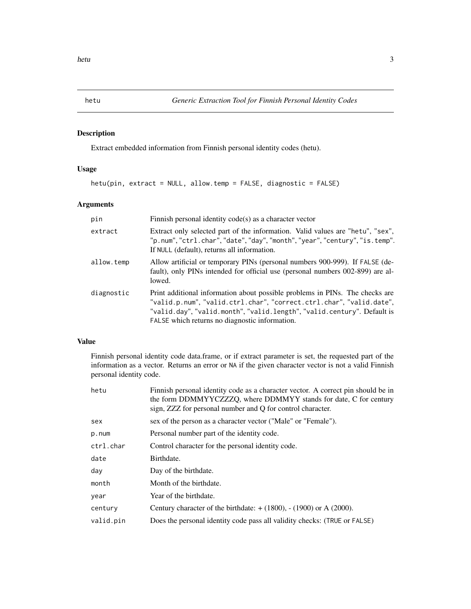#### <span id="page-2-1"></span><span id="page-2-0"></span>Description

Extract embedded information from Finnish personal identity codes (hetu).

#### Usage

hetu(pin, extract = NULL, allow.temp = FALSE, diagnostic = FALSE)

#### Arguments

| pin        | Finnish personal identity $code(s)$ as a character vector                                                                                                                                                                                                                         |
|------------|-----------------------------------------------------------------------------------------------------------------------------------------------------------------------------------------------------------------------------------------------------------------------------------|
| extract    | Extract only selected part of the information. Valid values are "hetu", "sex",<br>"p.num", "ctrl.char", "date", "day", "month", "year", "century", "is.temp".<br>If NULL (default), returns all information.                                                                      |
| allow.temp | Allow artificial or temporary PINs (personal numbers 900-999). If FALSE (de-<br>fault), only PINs intended for official use (personal numbers 002-899) are al-<br>lowed.                                                                                                          |
| diagnostic | Print additional information about possible problems in PINs. The checks are<br>"valid.p.num", "valid.ctrl.char", "correct.ctrl.char", "valid.date",<br>"valid.day", "valid.month", "valid.length", "valid.century". Default is<br>FALSE which returns no diagnostic information. |

#### Value

Finnish personal identity code data.frame, or if extract parameter is set, the requested part of the information as a vector. Returns an error or NA if the given character vector is not a valid Finnish personal identity code.

| hetu      | Finnish personal identity code as a character vector. A correct pin should be in<br>the form DDMMYYCZZZQ, where DDMMYY stands for date, C for century<br>sign, ZZZ for personal number and Q for control character. |
|-----------|---------------------------------------------------------------------------------------------------------------------------------------------------------------------------------------------------------------------|
| sex       | sex of the person as a character vector ("Male" or "Female").                                                                                                                                                       |
| p.num     | Personal number part of the identity code.                                                                                                                                                                          |
| ctrl.char | Control character for the personal identity code.                                                                                                                                                                   |
| date      | Birthdate.                                                                                                                                                                                                          |
| day       | Day of the birthdate.                                                                                                                                                                                               |
| month     | Month of the birthdate.                                                                                                                                                                                             |
| year      | Year of the birthdate.                                                                                                                                                                                              |
| century   | Century character of the birthdate: $+ (1800)$ , $- (1900)$ or A (2000).                                                                                                                                            |
| valid.pin | Does the personal identity code pass all validity checks: (TRUE or FALSE)                                                                                                                                           |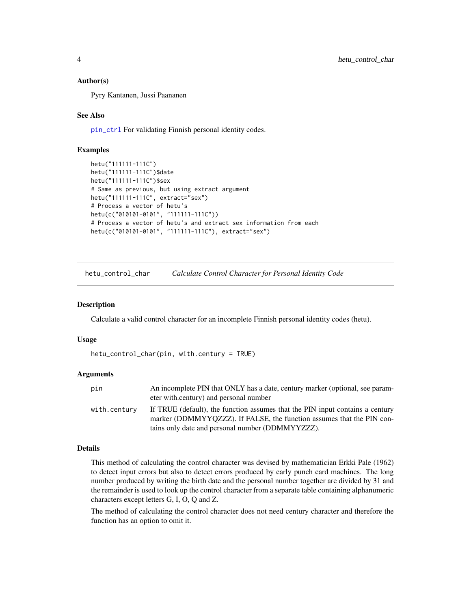#### <span id="page-3-0"></span>Author(s)

Pyry Kantanen, Jussi Paananen

#### See Also

[pin\\_ctrl](#page-6-1) For validating Finnish personal identity codes.

#### Examples

```
hetu("111111-111C")
hetu("111111-111C")$date
hetu("111111-111C")$sex
# Same as previous, but using extract argument
hetu("111111-111C", extract="sex")
# Process a vector of hetu's
hetu(c("010101-0101", "111111-111C"))
# Process a vector of hetu's and extract sex information from each
hetu(c("010101-0101", "111111-111C"), extract="sex")
```
hetu\_control\_char *Calculate Control Character for Personal Identity Code*

#### Description

Calculate a valid control character for an incomplete Finnish personal identity codes (hetu).

#### Usage

```
hetu_control_char(pin, with.century = TRUE)
```
#### Arguments

| pin          | An incomplete PIN that ONLY has a date, century marker (optional, see param-  |
|--------------|-------------------------------------------------------------------------------|
|              | eter with.century) and personal number                                        |
| with.centurv | If TRUE (default), the function assumes that the PIN input contains a century |
|              | marker (DDMMYYQZZZ). If FALSE, the function assumes that the PIN con-         |
|              | tains only date and personal number (DDMMYYZZZ).                              |

#### Details

This method of calculating the control character was devised by mathematician Erkki Pale (1962) to detect input errors but also to detect errors produced by early punch card machines. The long number produced by writing the birth date and the personal number together are divided by 31 and the remainder is used to look up the control character from a separate table containing alphanumeric characters except letters G, I, O, Q and Z.

The method of calculating the control character does not need century character and therefore the function has an option to omit it.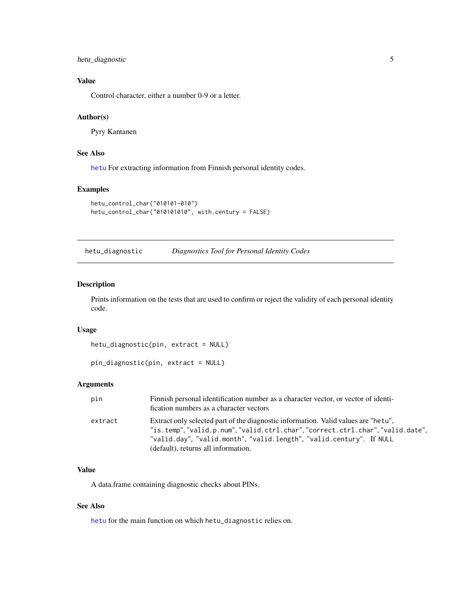#### <span id="page-4-0"></span>hetu\_diagnostic 5

#### Value

Control character, either a number 0-9 or a letter.

#### Author(s)

Pyry Kantanen

#### See Also

[hetu](#page-2-1) For extracting information from Finnish personal identity codes.

#### Examples

```
hetu_control_char("010101-010")
hetu_control_char("010101010", with.century = FALSE)
```
hetu\_diagnostic *Diagnostics Tool for Personal Identity Codes*

#### Description

Prints information on the tests that are used to confirm or reject the validity of each personal identity code.

#### Usage

```
hetu_diagnostic(pin, extract = NULL)
```

```
pin_diagnostic(pin, extract = NULL)
```
#### Arguments

| pin     | Finnish personal identification number as a character vector, or vector of identi-<br>fication numbers as a character vectors                                                                                                                                                        |
|---------|--------------------------------------------------------------------------------------------------------------------------------------------------------------------------------------------------------------------------------------------------------------------------------------|
| extract | Extract only selected part of the diagnostic information. Valid values are "hetu",<br>"is.temp", "valid.p.num", "valid.ctrl.char", "correct.ctrl.char", "valid.date",<br>"valid.day", "valid.month", "valid.length", "valid.century". If NULL<br>(default), returns all information. |

#### Value

A data.frame containing diagnostic checks about PINs.

#### See Also

[hetu](#page-2-1) for the main function on which hetu\_diagnostic relies on.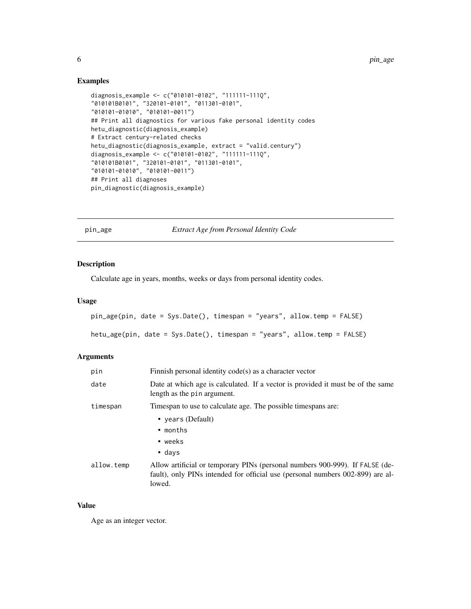#### Examples

```
diagnosis_example <- c("010101-0102", "111111-111Q",
"010101B0101", "320101-0101", "011301-0101",
"010101-01010", "010101-0011")
## Print all diagnostics for various fake personal identity codes
hetu_diagnostic(diagnosis_example)
# Extract century-related checks
hetu_diagnostic(diagnosis_example, extract = "valid.century")
diagnosis_example <- c("010101-0102", "111111-111Q",
"010101B0101", "320101-0101", "011301-0101",
"010101-01010", "010101-0011")
## Print all diagnoses
pin_diagnostic(diagnosis_example)
```
pin\_age *Extract Age from Personal Identity Code*

#### Description

Calculate age in years, months, weeks or days from personal identity codes.

#### Usage

```
pin_age(pin, date = Sys.Date(), timespan = "years", allow.temp = FALSE)
```

```
hetu_age(pin, date = Sys.Date(), timespan = "years", allow.temp = FALSE)
```
#### Arguments

| pin        | Finnish personal identity $code(s)$ as a character vector                                                                                                                |
|------------|--------------------------------------------------------------------------------------------------------------------------------------------------------------------------|
| date       | Date at which age is calculated. If a vector is provided it must be of the same<br>length as the pin argument.                                                           |
| timespan   | Timespan to use to calculate age. The possible timespans are:                                                                                                            |
|            | • years (Default)                                                                                                                                                        |
|            | $\bullet$ months                                                                                                                                                         |
|            | • weeks                                                                                                                                                                  |
|            | $\bullet$ days                                                                                                                                                           |
| allow.temp | Allow artificial or temporary PINs (personal numbers 900-999). If FALSE (de-<br>fault), only PINs intended for official use (personal numbers 002-899) are al-<br>lowed. |

#### Value

Age as an integer vector.

<span id="page-5-0"></span>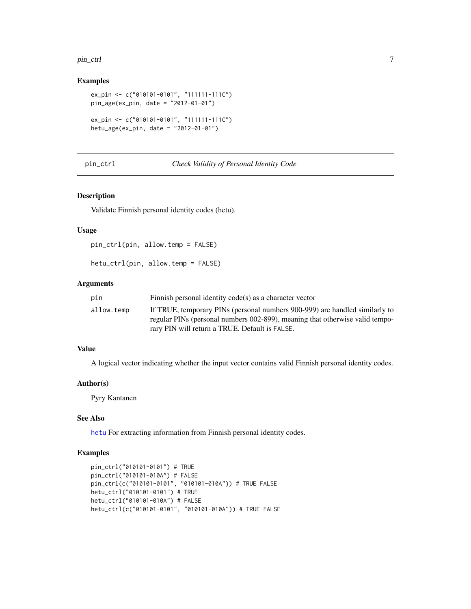#### <span id="page-6-0"></span>pin\_ctrl 7

#### Examples

```
ex_pin <- c("010101-0101", "111111-111C")
pin_age(ex_pin, date = "2012-01-01")
ex_pin <- c("010101-0101", "111111-111C")
hetu_age(ex_pin, date = "2012-01-01")
```
<span id="page-6-1"></span>pin\_ctrl *Check Validity of Personal Identity Code*

#### Description

Validate Finnish personal identity codes (hetu).

#### Usage

pin\_ctrl(pin, allow.temp = FALSE)

hetu\_ctrl(pin, allow.temp = FALSE)

#### Arguments

| pin        | Finnish personal identity code(s) as a character vector                      |
|------------|------------------------------------------------------------------------------|
| allow.temp | If TRUE, temporary PINs (personal numbers 900-999) are handled similarly to  |
|            | regular PINs (personal numbers 002-899), meaning that otherwise valid tempo- |
|            | rary PIN will return a TRUE. Default is FALSE.                               |

#### Value

A logical vector indicating whether the input vector contains valid Finnish personal identity codes.

#### Author(s)

Pyry Kantanen

#### See Also

[hetu](#page-2-1) For extracting information from Finnish personal identity codes.

#### Examples

```
pin_ctrl("010101-0101") # TRUE
pin_ctrl("010101-010A") # FALSE
pin_ctrl(c("010101-0101", "010101-010A")) # TRUE FALSE
hetu_ctrl("010101-0101") # TRUE
hetu_ctrl("010101-010A") # FALSE
hetu_ctrl(c("010101-0101", "010101-010A")) # TRUE FALSE
```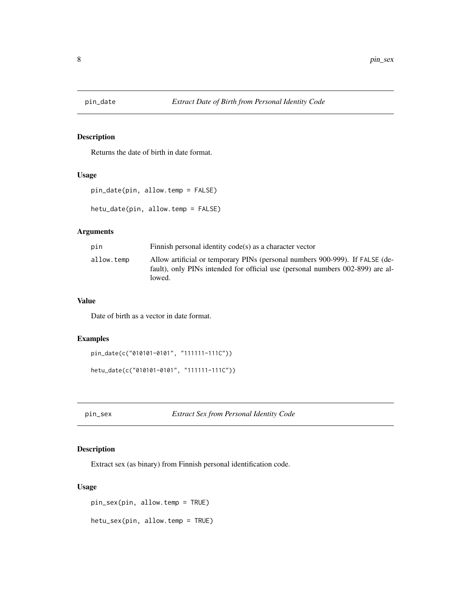<span id="page-7-0"></span>

#### Description

Returns the date of birth in date format.

#### Usage

```
pin_date(pin, allow.temp = FALSE)
hetu_date(pin, allow.temp = FALSE)
```
#### Arguments

| pin        | Finnish personal identity code(s) as a character vector                                                                                                                  |
|------------|--------------------------------------------------------------------------------------------------------------------------------------------------------------------------|
| allow.temp | Allow artificial or temporary PINs (personal numbers 900-999). If FALSE (de-<br>fault), only PINs intended for official use (personal numbers 002-899) are al-<br>lowed. |

#### Value

Date of birth as a vector in date format.

#### Examples

```
pin_date(c("010101-0101", "111111-111C"))
```

```
hetu_date(c("010101-0101", "111111-111C"))
```
pin\_sex *Extract Sex from Personal Identity Code*

#### Description

Extract sex (as binary) from Finnish personal identification code.

#### Usage

```
pin_sex(pin, allow.temp = TRUE)
```
hetu\_sex(pin, allow.temp = TRUE)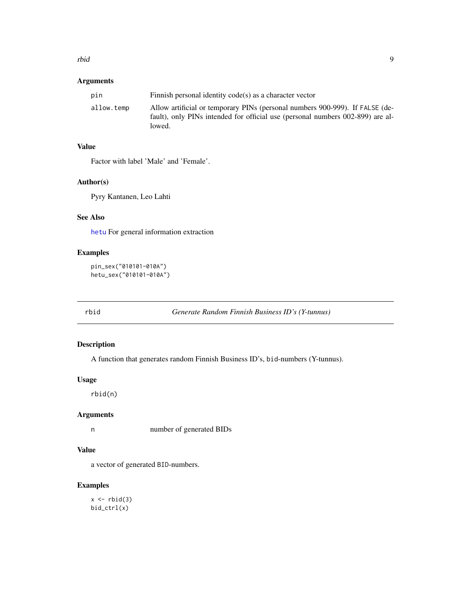#### <span id="page-8-0"></span>rbid and the state of the state of the state of the state of the state of the state of the state of the state o

#### Arguments

| pin        | Finnish personal identity code(s) as a character vector                                                                                                                  |
|------------|--------------------------------------------------------------------------------------------------------------------------------------------------------------------------|
| allow.temp | Allow artificial or temporary PINs (personal numbers 900-999). If FALSE (de-<br>fault), only PINs intended for official use (personal numbers 002-899) are al-<br>lowed. |

#### Value

Factor with label 'Male' and 'Female'.

#### Author(s)

Pyry Kantanen, Leo Lahti

#### See Also

[hetu](#page-2-1) For general information extraction

#### Examples

```
pin_sex("010101-010A")
hetu_sex("010101-010A")
```
rbid *Generate Random Finnish Business ID's (Y-tunnus)*

#### Description

A function that generates random Finnish Business ID's, bid-numbers (Y-tunnus).

#### Usage

rbid(n)

#### Arguments

n number of generated BIDs

#### Value

a vector of generated BID-numbers.

#### Examples

 $x \leftarrow \text{rbid}(3)$ bid\_ctrl(x)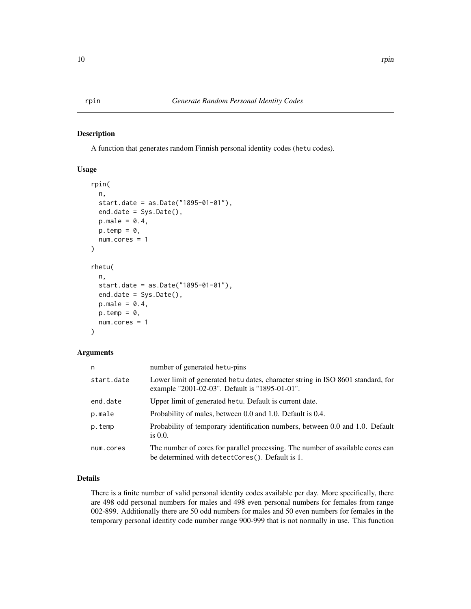#### <span id="page-9-0"></span>Description

A function that generates random Finnish personal identity codes (hetu codes).

#### Usage

```
rpin(
 n,
  start.date = as.Date("1895-01-01"),
 end.date = Sys.Date(),
 p.make = 0.4,
 p.temp = \theta,
 num.cores = 1
)
rhetu(
 n,
  start.date = as.Date("1895-01-01"),
 end.date = Sys.Date(),
 p.make = 0.4,p.temp = 0,
 num.cores = 1
)
```
#### Arguments

| n          | number of generated hetu-pins                                                                                                     |
|------------|-----------------------------------------------------------------------------------------------------------------------------------|
| start.date | Lower limit of generated hetu dates, character string in ISO 8601 standard, for<br>example "2001-02-03". Default is "1895-01-01". |
| end.date   | Upper limit of generated hetu. Default is current date.                                                                           |
| p.male     | Probability of males, between 0.0 and 1.0. Default is 0.4.                                                                        |
| p.temp     | Probability of temporary identification numbers, between 0.0 and 1.0. Default<br>is $0.0$ .                                       |
| num.cores  | The number of cores for parallel processing. The number of available cores can<br>be determined with detectCores(). Default is 1. |

#### Details

There is a finite number of valid personal identity codes available per day. More specifically, there are 498 odd personal numbers for males and 498 even personal numbers for females from range 002-899. Additionally there are 50 odd numbers for males and 50 even numbers for females in the temporary personal identity code number range 900-999 that is not normally in use. This function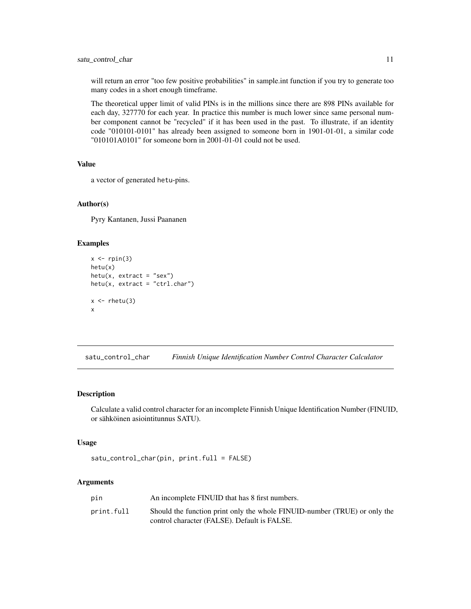<span id="page-10-0"></span>will return an error "too few positive probabilities" in sample.int function if you try to generate too many codes in a short enough timeframe.

The theoretical upper limit of valid PINs is in the millions since there are 898 PINs available for each day, 327770 for each year. In practice this number is much lower since same personal number component cannot be "recycled" if it has been used in the past. To illustrate, if an identity code "010101-0101" has already been assigned to someone born in 1901-01-01, a similar code "010101A0101" for someone born in 2001-01-01 could not be used.

#### Value

a vector of generated hetu-pins.

#### Author(s)

Pyry Kantanen, Jussi Paananen

#### Examples

```
x \leftarrow rpin(3)
hetu(x)
hetu(x, extract = "sex")hetu(x, extract = "ctrl.char")
x \leftarrow \text{rhetu}(3)x
```
satu\_control\_char *Finnish Unique Identification Number Control Character Calculator*

#### Description

Calculate a valid control character for an incomplete Finnish Unique Identification Number (FINUID, or sähköinen asiointitunnus SATU).

#### Usage

```
satu_control_char(pin, print.full = FALSE)
```
#### Arguments

| pin        | An incomplete FINUID that has 8 first numbers.                                                                            |
|------------|---------------------------------------------------------------------------------------------------------------------------|
| print.full | Should the function print only the whole FINUID-number (TRUE) or only the<br>control character (FALSE). Default is FALSE. |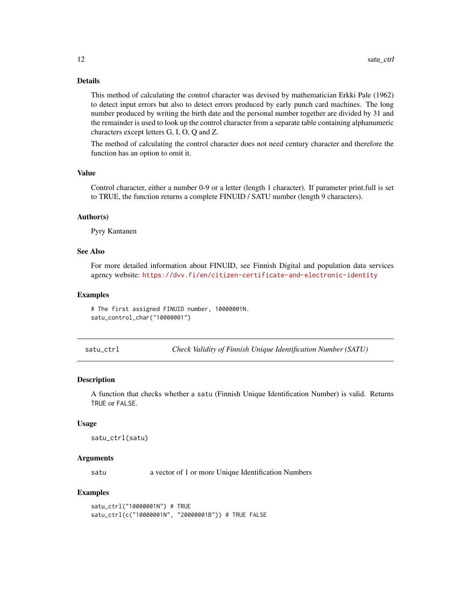#### <span id="page-11-0"></span>Details

This method of calculating the control character was devised by mathematician Erkki Pale (1962) to detect input errors but also to detect errors produced by early punch card machines. The long number produced by writing the birth date and the personal number together are divided by 31 and the remainder is used to look up the control character from a separate table containing alphanumeric characters except letters G, I, O, Q and Z.

The method of calculating the control character does not need century character and therefore the function has an option to omit it.

#### Value

Control character, either a number 0-9 or a letter (length 1 character). If parameter print.full is set to TRUE, the function returns a complete FINUID / SATU number (length 9 characters).

#### Author(s)

Pyry Kantanen

#### See Also

For more detailed information about FINUID, see Finnish Digital and population data services agency website: <https://dvv.fi/en/citizen-certificate-and-electronic-identity>

#### Examples

# The first assigned FINUID number, 10000001N. satu\_control\_char("10000001")

satu\_ctrl *Check Validity of Finnish Unique Identification Number (SATU)*

#### **Description**

A function that checks whether a satu (Finnish Unique Identification Number) is valid. Returns TRUE or FALSE.

#### Usage

```
satu_ctrl(satu)
```
#### Arguments

satu a vector of 1 or more Unique Identification Numbers

#### Examples

```
satu_ctrl("10000001N") # TRUE
satu_ctrl(c("10000001N", "20000001B")) # TRUE FALSE
```